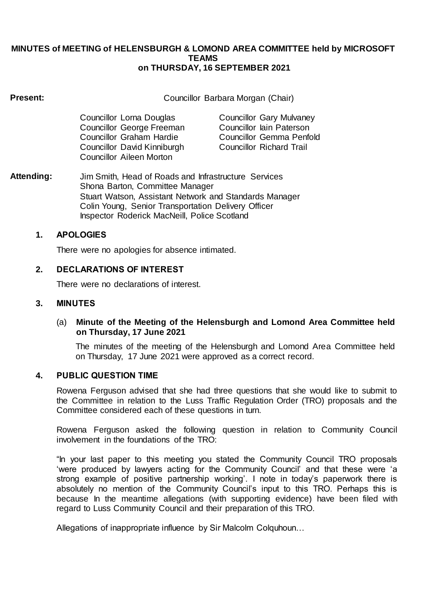#### **MINUTES of MEETING of HELENSBURGH & LOMOND AREA COMMITTEE held by MICROSOFT TEAMS on THURSDAY, 16 SEPTEMBER 2021**

# **Present:** Councillor Barbara Morgan (Chair)

| Councillor Lorna Douglas        | <b>Councillor Gary Mulvaney</b> |
|---------------------------------|---------------------------------|
| Councillor George Freeman       | Councillor lain Paterson        |
| <b>Councillor Graham Hardie</b> | <b>Councillor Gemma Penfold</b> |
| Councillor David Kinniburgh     | <b>Councillor Richard Trail</b> |
| <b>Councillor Aileen Morton</b> |                                 |

**Attending:** Jim Smith, Head of Roads and Infrastructure Services Shona Barton, Committee Manager Stuart Watson, Assistant Network and Standards Manager Colin Young, Senior Transportation Delivery Officer Inspector Roderick MacNeill, Police Scotland

# **1. APOLOGIES**

There were no apologies for absence intimated.

# **2. DECLARATIONS OF INTEREST**

There were no declarations of interest.

# **3. MINUTES**

# (a) **Minute of the Meeting of the Helensburgh and Lomond Area Committee held on Thursday, 17 June 2021**

The minutes of the meeting of the Helensburgh and Lomond Area Committee held on Thursday, 17 June 2021 were approved as a correct record.

# **4. PUBLIC QUESTION TIME**

Rowena Ferguson advised that she had three questions that she would like to submit to the Committee in relation to the Luss Traffic Regulation Order (TRO) proposals and the Committee considered each of these questions in turn.

Rowena Ferguson asked the following question in relation to Community Council involvement in the foundations of the TRO:

"In your last paper to this meeting you stated the Community Council TRO proposals 'were produced by lawyers acting for the Community Council' and that these were 'a strong example of positive partnership working'. I note in today's paperwork there is absolutely no mention of the Community Council's input to this TRO. Perhaps this is because In the meantime allegations (with supporting evidence) have been filed with regard to Luss Community Council and their preparation of this TRO.

Allegations of inappropriate influence by Sir Malcolm Colquhoun…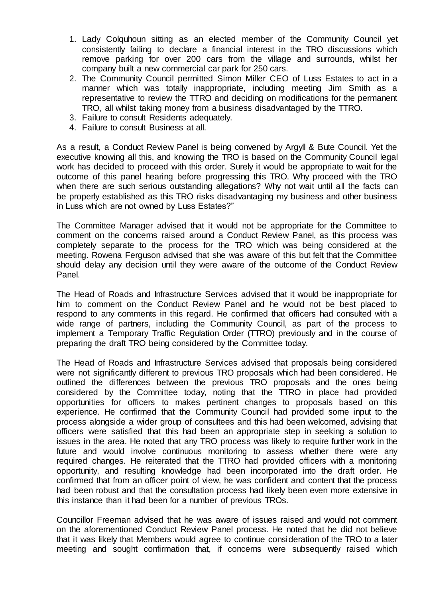- 1. Lady Colquhoun sitting as an elected member of the Community Council yet consistently failing to declare a financial interest in the TRO discussions which remove parking for over 200 cars from the village and surrounds, whilst her company built a new commercial car park for 250 cars.
- 2. The Community Council permitted Simon Miller CEO of Luss Estates to act in a manner which was totally inappropriate, including meeting Jim Smith as a representative to review the TTRO and deciding on modifications for the permanent TRO, all whilst taking money from a business disadvantaged by the TTRO.
- 3. Failure to consult Residents adequately.
- 4. Failure to consult Business at all.

As a result, a Conduct Review Panel is being convened by Argyll & Bute Council. Yet the executive knowing all this, and knowing the TRO is based on the Community Council legal work has decided to proceed with this order. Surely it would be appropriate to wait for the outcome of this panel hearing before progressing this TRO. Why proceed with the TRO when there are such serious outstanding allegations? Why not wait until all the facts can be properly established as this TRO risks disadvantaging my business and other business in Luss which are not owned by Luss Estates?"

The Committee Manager advised that it would not be appropriate for the Committee to comment on the concerns raised around a Conduct Review Panel, as this process was completely separate to the process for the TRO which was being considered at the meeting. Rowena Ferguson advised that she was aware of this but felt that the Committee should delay any decision until they were aware of the outcome of the Conduct Review Panel.

The Head of Roads and Infrastructure Services advised that it would be inappropriate for him to comment on the Conduct Review Panel and he would not be best placed to respond to any comments in this regard. He confirmed that officers had consulted with a wide range of partners, including the Community Council, as part of the process to implement a Temporary Traffic Regulation Order (TTRO) previously and in the course of preparing the draft TRO being considered by the Committee today.

The Head of Roads and Infrastructure Services advised that proposals being considered were not significantly different to previous TRO proposals which had been considered. He outlined the differences between the previous TRO proposals and the ones being considered by the Committee today, noting that the TTRO in place had provided opportunities for officers to makes pertinent changes to proposals based on this experience. He confirmed that the Community Council had provided some input to the process alongside a wider group of consultees and this had been welcomed, advising that officers were satisfied that this had been an appropriate step in seeking a solution to issues in the area. He noted that any TRO process was likely to require further work in the future and would involve continuous monitoring to assess whether there were any required changes. He reiterated that the TTRO had provided officers with a monitoring opportunity, and resulting knowledge had been incorporated into the draft order. He confirmed that from an officer point of view, he was confident and content that the process had been robust and that the consultation process had likely been even more extensive in this instance than it had been for a number of previous TROs.

Councillor Freeman advised that he was aware of issues raised and would not comment on the aforementioned Conduct Review Panel process. He noted that he did not believe that it was likely that Members would agree to continue consideration of the TRO to a later meeting and sought confirmation that, if concerns were subsequently raised which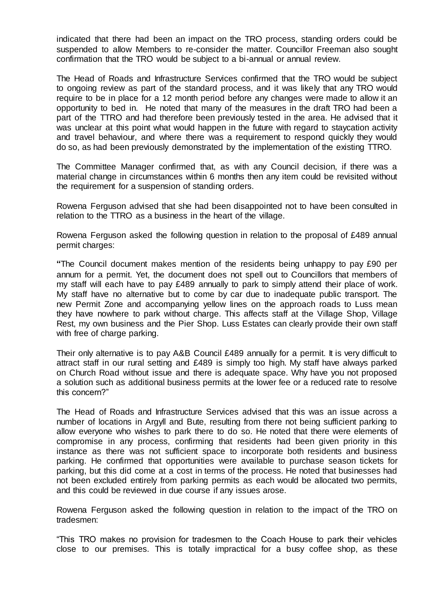indicated that there had been an impact on the TRO process, standing orders could be suspended to allow Members to re-consider the matter. Councillor Freeman also sought confirmation that the TRO would be subject to a bi-annual or annual review.

The Head of Roads and Infrastructure Services confirmed that the TRO would be subject to ongoing review as part of the standard process, and it was likely that any TRO would require to be in place for a 12 month period before any changes were made to allow it an opportunity to bed in. He noted that many of the measures in the draft TRO had been a part of the TTRO and had therefore been previously tested in the area. He advised that it was unclear at this point what would happen in the future with regard to staycation activity and travel behaviour, and where there was a requirement to respond quickly they would do so, as had been previously demonstrated by the implementation of the existing TTRO.

The Committee Manager confirmed that, as with any Council decision, if there was a material change in circumstances within 6 months then any item could be revisited without the requirement for a suspension of standing orders.

Rowena Ferguson advised that she had been disappointed not to have been consulted in relation to the TTRO as a business in the heart of the village.

Rowena Ferguson asked the following question in relation to the proposal of £489 annual permit charges:

**"**The Council document makes mention of the residents being unhappy to pay £90 per annum for a permit. Yet, the document does not spell out to Councillors that members of my staff will each have to pay £489 annually to park to simply attend their place of work. My staff have no alternative but to come by car due to inadequate public transport. The new Permit Zone and accompanying yellow lines on the approach roads to Luss mean they have nowhere to park without charge. This affects staff at the Village Shop, Village Rest, my own business and the Pier Shop. Luss Estates can clearly provide their own staff with free of charge parking.

Their only alternative is to pay A&B Council £489 annually for a permit. It is very difficult to attract staff in our rural setting and £489 is simply too high. My staff have always parked on Church Road without issue and there is adequate space. Why have you not proposed a solution such as additional business permits at the lower fee or a reduced rate to resolve this concern?"

The Head of Roads and Infrastructure Services advised that this was an issue across a number of locations in Argyll and Bute, resulting from there not being sufficient parking to allow everyone who wishes to park there to do so. He noted that there were elements of compromise in any process, confirming that residents had been given priority in this instance as there was not sufficient space to incorporate both residents and business parking. He confirmed that opportunities were available to purchase season tickets for parking, but this did come at a cost in terms of the process. He noted that businesses had not been excluded entirely from parking permits as each would be allocated two permits, and this could be reviewed in due course if any issues arose.

Rowena Ferguson asked the following question in relation to the impact of the TRO on tradesmen:

"This TRO makes no provision for tradesmen to the Coach House to park their vehicles close to our premises. This is totally impractical for a busy coffee shop, as these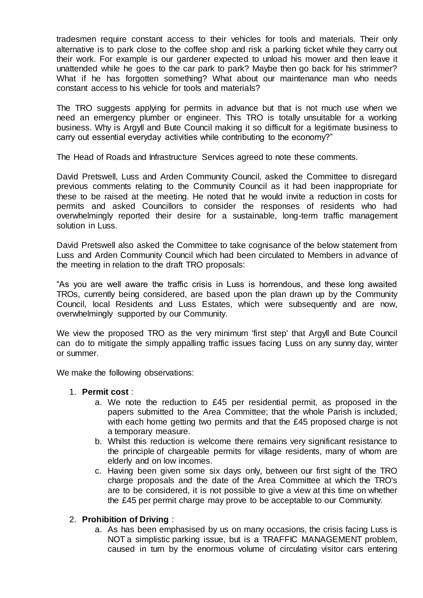tradesmen require constant access to their vehicles for tools and materials. Their only alternative is to park close to the coffee shop and risk a parking ticket while they carry out their work. For example is our gardener expected to unload his mower and then leave it unattended while he goes to the car park to park? Maybe then go back for his strimmer? What if he has forgotten something? What about our maintenance man who needs constant access to his vehicle for tools and materials?

The TRO suggests applying for permits in advance but that is not much use when we need an emergency plumber or engineer. This TRO is totally unsuitable for a working business. Why is Argyll and Bute Council making it so difficult for a legitimate business to carry out essential everyday activities while contributing to the economy?"

The Head of Roads and Infrastructure Services agreed to note these comments.

David Pretswell, Luss and Arden Community Council, asked the Committee to disregard previous comments relating to the Community Council as it had been inappropriate for these to be raised at the meeting. He noted that he would invite a reduction in costs for permits and asked Councillors to consider the responses of residents who had overwhelmingly reported their desire for a sustainable, long-term traffic management solution in Luss.

David Pretswell also asked the Committee to take cognisance of the below statement from Luss and Arden Community Council which had been circulated to Members in advance of the meeting in relation to the draft TRO proposals:

"As you are well aware the traffic crisis in Luss is horrendous, and these long awaited TROs, currently being considered, are based upon the plan drawn up by the Community Council, local Residents and Luss Estates, which were subsequently and are now, overwhelmingly supported by our Community.

We view the proposed TRO as the very minimum 'first step' that Argyll and Bute Council can do to mitigate the simply appalling traffic issues facing Luss on any sunny day, winter or summer.

We make the following observations:

#### 1. **Permit cost** :

- a. We note the reduction to £45 per residential permit, as proposed in the papers submitted to the Area Committee; that the whole Parish is included, with each home getting two permits and that the £45 proposed charge is not a temporary measure.
- b. Whilst this reduction is welcome there remains very significant resistance to the principle of chargeable permits for village residents, many of whom are elderly and on low incomes.
- c. Having been given some six days only, between our first sight of the TRO charge proposals and the date of the Area Committee at which the TRO's are to be considered, it is not possible to give a view at this time on whether the £45 per permit charge may prove to be acceptable to our Community.

# 2. **Prohibition of Driving** :

a. As has been emphasised by us on many occasions, the crisis facing Luss is NOT a simplistic parking issue, but is a TRAFFIC MANAGEMENT problem, caused in turn by the enormous volume of circulating visitor cars entering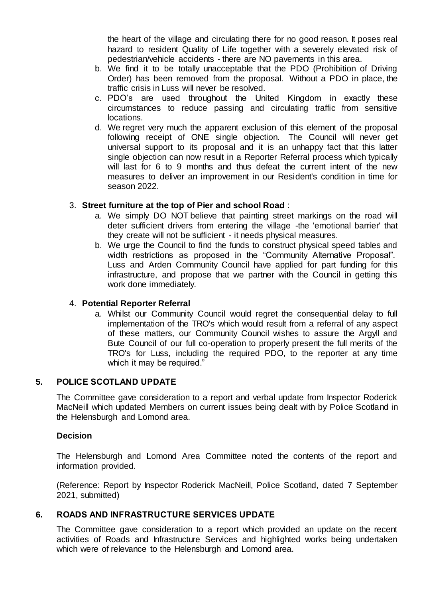the heart of the village and circulating there for no good reason. It poses real hazard to resident Quality of Life together with a severely elevated risk of pedestrian/vehicle accidents - there are NO pavements in this area.

- b. We find it to be totally unacceptable that the PDO (Prohibition of Driving Order) has been removed from the proposal. Without a PDO in place, the traffic crisis in Luss will never be resolved.
- c. PDO's are used throughout the United Kingdom in exactly these circumstances to reduce passing and circulating traffic from sensitive locations.
- d. We regret very much the apparent exclusion of this element of the proposal following receipt of ONE single objection. The Council will never get universal support to its proposal and it is an unhappy fact that this latter single objection can now result in a Reporter Referral process which typically will last for 6 to 9 months and thus defeat the current intent of the new measures to deliver an improvement in our Resident's condition in time for season 2022.

# 3. **Street furniture at the top of Pier and school Road** :

- a. We simply DO NOT believe that painting street markings on the road will deter sufficient drivers from entering the village -the 'emotional barrier' that they create will not be sufficient - it needs physical measures.
- b. We urge the Council to find the funds to construct physical speed tables and width restrictions as proposed in the "Community Alternative Proposal". Luss and Arden Community Council have applied for part funding for this infrastructure, and propose that we partner with the Council in getting this work done immediately.

# 4. **Potential Reporter Referral**

a. Whilst our Community Council would regret the consequential delay to full implementation of the TRO's which would result from a referral of any aspect of these matters, our Community Council wishes to assure the Argyll and Bute Council of our full co-operation to properly present the full merits of the TRO's for Luss, including the required PDO, to the reporter at any time which it may be required."

# **5. POLICE SCOTLAND UPDATE**

The Committee gave consideration to a report and verbal update from Inspector Roderick MacNeill which updated Members on current issues being dealt with by Police Scotland in the Helensburgh and Lomond area.

# **Decision**

The Helensburgh and Lomond Area Committee noted the contents of the report and information provided.

(Reference: Report by Inspector Roderick MacNeill, Police Scotland, dated 7 September 2021, submitted)

# **6. ROADS AND INFRASTRUCTURE SERVICES UPDATE**

The Committee gave consideration to a report which provided an update on the recent activities of Roads and Infrastructure Services and highlighted works being undertaken which were of relevance to the Helensburgh and Lomond area.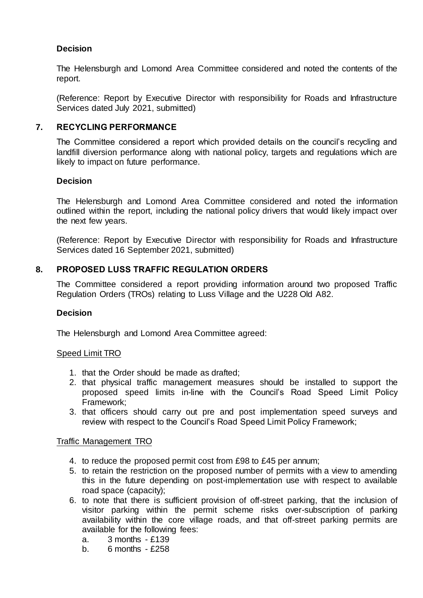# **Decision**

The Helensburgh and Lomond Area Committee considered and noted the contents of the report.

(Reference: Report by Executive Director with responsibility for Roads and Infrastructure Services dated July 2021, submitted)

# **7. RECYCLING PERFORMANCE**

The Committee considered a report which provided details on the council's recycling and landfill diversion performance along with national policy, targets and regulations which are likely to impact on future performance.

### **Decision**

The Helensburgh and Lomond Area Committee considered and noted the information outlined within the report, including the national policy drivers that would likely impact over the next few years.

(Reference: Report by Executive Director with responsibility for Roads and Infrastructure Services dated 16 September 2021, submitted)

# **8. PROPOSED LUSS TRAFFIC REGULATION ORDERS**

The Committee considered a report providing information around two proposed Traffic Regulation Orders (TROs) relating to Luss Village and the U228 Old A82.

#### **Decision**

The Helensburgh and Lomond Area Committee agreed:

#### Speed Limit TRO

- 1. that the Order should be made as drafted;
- 2. that physical traffic management measures should be installed to support the proposed speed limits in-line with the Council's Road Speed Limit Policy Framework;
- 3. that officers should carry out pre and post implementation speed surveys and review with respect to the Council's Road Speed Limit Policy Framework;

#### Traffic Management TRO

- 4. to reduce the proposed permit cost from £98 to £45 per annum;
- 5. to retain the restriction on the proposed number of permits with a view to amending this in the future depending on post-implementation use with respect to available road space (capacity);
- 6. to note that there is sufficient provision of off-street parking, that the inclusion of visitor parking within the permit scheme risks over-subscription of parking availability within the core village roads, and that off-street parking permits are available for the following fees:
	- a. 3 months £139
	- b. 6 months £258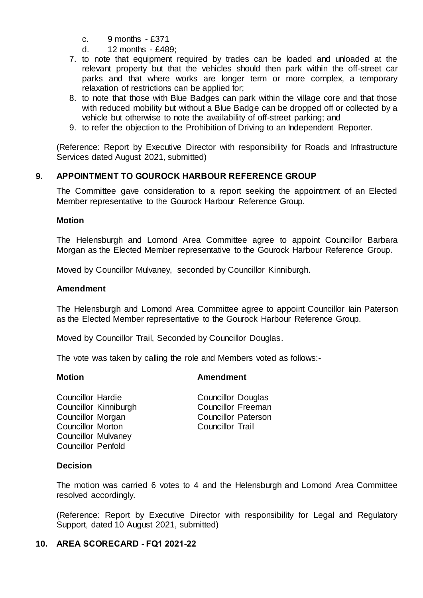- c. 9 months £371
- d. 12 months £489;
- 7. to note that equipment required by trades can be loaded and unloaded at the relevant property but that the vehicles should then park within the off-street car parks and that where works are longer term or more complex, a temporary relaxation of restrictions can be applied for;
- 8. to note that those with Blue Badges can park within the village core and that those with reduced mobility but without a Blue Badge can be dropped off or collected by a vehicle but otherwise to note the availability of off-street parking; and
- 9. to refer the objection to the Prohibition of Driving to an Independent Reporter.

(Reference: Report by Executive Director with responsibility for Roads and Infrastructure Services dated August 2021, submitted)

# **9. APPOINTMENT TO GOUROCK HARBOUR REFERENCE GROUP**

The Committee gave consideration to a report seeking the appointment of an Elected Member representative to the Gourock Harbour Reference Group.

### **Motion**

The Helensburgh and Lomond Area Committee agree to appoint Councillor Barbara Morgan as the Elected Member representative to the Gourock Harbour Reference Group.

Moved by Councillor Mulvaney, seconded by Councillor Kinniburgh.

### **Amendment**

The Helensburgh and Lomond Area Committee agree to appoint Councillor Iain Paterson as the Elected Member representative to the Gourock Harbour Reference Group.

Moved by Councillor Trail, Seconded by Councillor Douglas.

The vote was taken by calling the role and Members voted as follows:-

# **Motion Amendment**

Councillor Hardie Councillor Douglas Councillor Kinniburgh Councillor Freeman Councillor Morgan Councillor Paterson<br>
Councillor Morton Councillor Trail Councillor Morton Councillor Mulvaney Councillor Penfold

# **Decision**

The motion was carried 6 votes to 4 and the Helensburgh and Lomond Area Committee resolved accordingly.

(Reference: Report by Executive Director with responsibility for Legal and Regulatory Support, dated 10 August 2021, submitted)

# **10. AREA SCORECARD - FQ1 2021-22**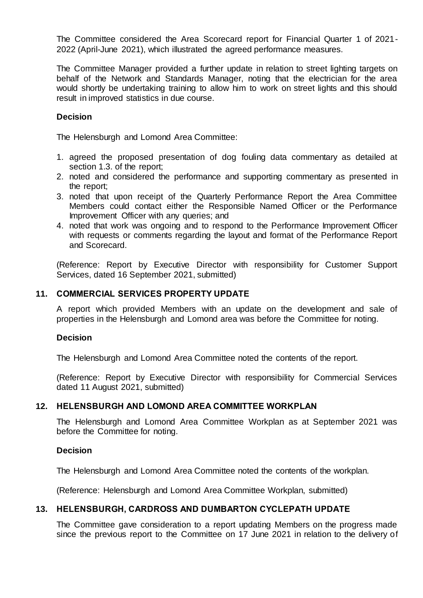The Committee considered the Area Scorecard report for Financial Quarter 1 of 2021- 2022 (April-June 2021), which illustrated the agreed performance measures.

The Committee Manager provided a further update in relation to street lighting targets on behalf of the Network and Standards Manager, noting that the electrician for the area would shortly be undertaking training to allow him to work on street lights and this should result in improved statistics in due course.

# **Decision**

The Helensburgh and Lomond Area Committee:

- 1. agreed the proposed presentation of dog fouling data commentary as detailed at section 1.3. of the report;
- 2. noted and considered the performance and supporting commentary as presented in the report;
- 3. noted that upon receipt of the Quarterly Performance Report the Area Committee Members could contact either the Responsible Named Officer or the Performance Improvement Officer with any queries; and
- 4. noted that work was ongoing and to respond to the Performance Improvement Officer with requests or comments regarding the layout and format of the Performance Report and Scorecard.

(Reference: Report by Executive Director with responsibility for Customer Support Services, dated 16 September 2021, submitted)

# **11. COMMERCIAL SERVICES PROPERTY UPDATE**

A report which provided Members with an update on the development and sale of properties in the Helensburgh and Lomond area was before the Committee for noting.

#### **Decision**

The Helensburgh and Lomond Area Committee noted the contents of the report.

(Reference: Report by Executive Director with responsibility for Commercial Services dated 11 August 2021, submitted)

# **12. HELENSBURGH AND LOMOND AREA COMMITTEE WORKPLAN**

The Helensburgh and Lomond Area Committee Workplan as at September 2021 was before the Committee for noting.

#### **Decision**

The Helensburgh and Lomond Area Committee noted the contents of the workplan.

(Reference: Helensburgh and Lomond Area Committee Workplan, submitted)

# **13. HELENSBURGH, CARDROSS AND DUMBARTON CYCLEPATH UPDATE**

The Committee gave consideration to a report updating Members on the progress made since the previous report to the Committee on 17 June 2021 in relation to the delivery of